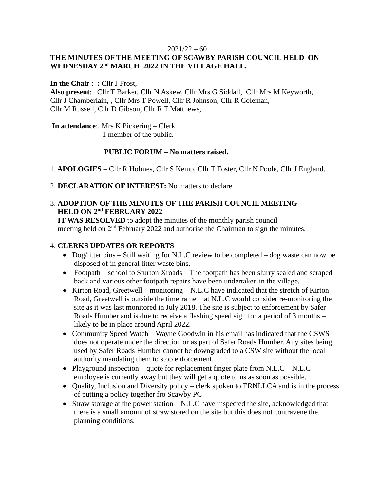#### $2021/22 - 60$

# **THE MINUTES OF THE MEETING OF SCAWBY PARISH COUNCIL HELD ON WEDNESDAY 2 nd MARCH 2022 IN THE VILLAGE HALL.**

**In the Chair** : **:** Cllr J Frost,

**Also present**: Cllr T Barker, Cllr N Askew, Cllr Mrs G Siddall, Cllr Mrs M Keyworth, Cllr J Chamberlain, , Cllr Mrs T Powell, Cllr R Johnson, Cllr R Coleman, Cllr M Russell, Cllr D Gibson, Cllr R T Matthews,

**In attendance**:, Mrs K Pickering – Clerk.

1 member of the public.

## **PUBLIC FORUM – No matters raised.**

1. **APOLOGIES** – Cllr R Holmes, Cllr S Kemp, Cllr T Foster, Cllr N Poole, Cllr J England.

2. **DECLARATION OF INTEREST:** No matters to declare.

## 3. **ADOPTION OF THE MINUTES OF THE PARISH COUNCIL MEETING HELD ON 2 nd FEBRUARY 2022**

 **IT WAS RESOLVED** to adopt the minutes of the monthly parish council meeting held on 2<sup>nd</sup> February 2022 and authorise the Chairman to sign the minutes.

## 4. **CLERKS UPDATES OR REPORTS**

- Dog/litter bins Still waiting for N.L.C review to be completed dog waste can now be disposed of in general litter waste bins.
- Footpath school to Sturton Xroads The footpath has been slurry sealed and scraped back and various other footpath repairs have been undertaken in the village.
- Kirton Road, Greetwell monitoring N.L.C have indicated that the stretch of Kirton Road, Greetwell is outside the timeframe that N.L.C would consider re-monitoring the site as it was last monitored in July 2018. The site is subject to enforcement by Safer Roads Humber and is due to receive a flashing speed sign for a period of 3 months – likely to be in place around April 2022.
- Community Speed Watch Wayne Goodwin in his email has indicated that the CSWS does not operate under the direction or as part of Safer Roads Humber. Any sites being used by Safer Roads Humber cannot be downgraded to a CSW site without the local authority mandating them to stop enforcement.
- Playground inspection quote for replacement finger plate from N.L.C N.L.C employee is currently away but they will get a quote to us as soon as possible.
- Quality, Inclusion and Diversity policy clerk spoken to ERNLLCA and is in the process of putting a policy together fro Scawby PC
- Straw storage at the power station N.L.C have inspected the site, acknowledged that there is a small amount of straw stored on the site but this does not contravene the planning conditions.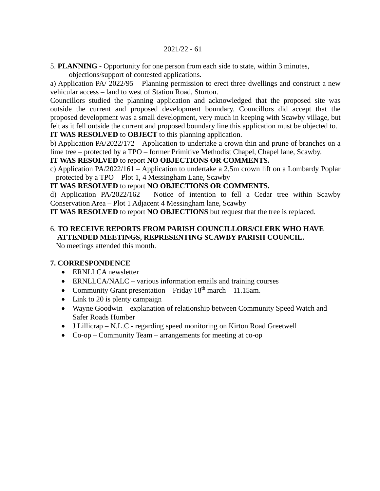#### 2021/22 - 61

5. **PLANNING -** Opportunity for one person from each side to state, within 3 minutes,

objections/support of contested applications.

a) Application PA/ 2022/95 – Planning permission to erect three dwellings and construct a new vehicular access – land to west of Station Road, Sturton.

Councillors studied the planning application and acknowledged that the proposed site was outside the current and proposed development boundary. Councillors did accept that the proposed development was a small development, very much in keeping with Scawby village, but felt as it fell outside the current and proposed boundary line this application must be objected to. **IT WAS RESOLVED** to **OBJECT** to this planning application.

b) Application PA/2022/172 – Application to undertake a crown thin and prune of branches on a lime tree – protected by a TPO – former Primitive Methodist Chapel, Chapel lane, Scawby.

# **IT WAS RESOLVED** to report **NO OBJECTIONS OR COMMENTS.**

c) Application PA/2022/161 – Application to undertake a 2.5m crown lift on a Lombardy Poplar – protected by a TPO – Plot 1, 4 Messingham Lane, Scawby

# **IT WAS RESOLVED** to report **NO OBJECTIONS OR COMMENTS.**

d) Application PA/2022/162 – Notice of intention to fell a Cedar tree within Scawby Conservation Area – Plot 1 Adjacent 4 Messingham lane, Scawby

**IT WAS RESOLVED** to report **NO OBJECTIONS** but request that the tree is replaced.

# 6. **TO RECEIVE REPORTS FROM PARISH COUNCILLORS/CLERK WHO HAVE ATTENDED MEETINGS, REPRESENTING SCAWBY PARISH COUNCIL.**

No meetings attended this month.

# **7. CORRESPONDENCE**

- ERNLLCA newsletter
- ERNLLCA/NALC various information emails and training courses
- Community Grant presentation Friday  $18<sup>th</sup>$  march 11.15am.
- Link to 20 is plenty campaign
- Wayne Goodwin explanation of relationship between Community Speed Watch and Safer Roads Humber
- J Lillicrap N.L.C regarding speed monitoring on Kirton Road Greetwell
- Co-op Community Team arrangements for meeting at co-op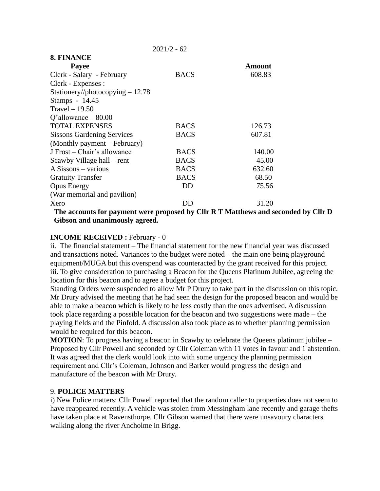| 8. FINANCE                                                            |             |               |
|-----------------------------------------------------------------------|-------------|---------------|
| <b>Payee</b>                                                          |             | <b>Amount</b> |
| Clerk - Salary - February                                             | <b>BACS</b> | 608.83        |
| Clerk - Expenses :                                                    |             |               |
| Stationery//photocopying $-12.78$                                     |             |               |
| Stamps - 14.45                                                        |             |               |
| Travel $-19.50$                                                       |             |               |
| $Q'$ allowance $-80.00$                                               |             |               |
| <b>TOTAL EXPENSES</b>                                                 | <b>BACS</b> | 126.73        |
| <b>Sissons Gardening Services</b>                                     | <b>BACS</b> | 607.81        |
| (Monthly payment – February)                                          |             |               |
| J Frost – Chair's allowance                                           | <b>BACS</b> | 140.00        |
| Scawby Village hall – rent                                            | <b>BACS</b> | 45.00         |
| A Sissons – various                                                   | <b>BACS</b> | 632.60        |
| <b>Gratuity Transfer</b>                                              | <b>BACS</b> | 68.50         |
| <b>Opus Energy</b>                                                    | DD          | 75.56         |
| (War memorial and pavilion)                                           |             |               |
| Xero                                                                  | DD          | 31.20         |
| The accounts for nayment were proposed by Cllr R T Matthews and secon |             |               |

 $2021/2 - 62$ 

 **The accounts for payment were proposed by Cllr R T Matthews and seconded by Cllr D Gibson and unanimously agreed.** 

### **INCOME RECEIVED : February - 0**

ii. The financial statement – The financial statement for the new financial year was discussed and transactions noted. Variances to the budget were noted – the main one being playground equipment/MUGA but this overspend was counteracted by the grant received for this project. iii. To give consideration to purchasing a Beacon for the Queens Platinum Jubilee, agreeing the location for this beacon and to agree a budget for this project.

Standing Orders were suspended to allow Mr P Drury to take part in the discussion on this topic. Mr Drury advised the meeting that he had seen the design for the proposed beacon and would be able to make a beacon which is likely to be less costly than the ones advertised. A discussion took place regarding a possible location for the beacon and two suggestions were made – the playing fields and the Pinfold. A discussion also took place as to whether planning permission would be required for this beacon.

**MOTION**: To progress having a beacon in Scawby to celebrate the Queens platinum jubilee – Proposed by Cllr Powell and seconded by Cllr Coleman with 11 votes in favour and 1 abstention. It was agreed that the clerk would look into with some urgency the planning permission requirement and Cllr's Coleman, Johnson and Barker would progress the design and manufacture of the beacon with Mr Drury.

#### 9. **POLICE MATTERS**

i) New Police matters: Cllr Powell reported that the random caller to properties does not seem to have reappeared recently. A vehicle was stolen from Messingham lane recently and garage thefts have taken place at Ravensthorpe. Cllr Gibson warned that there were unsavoury characters walking along the river Ancholme in Brigg.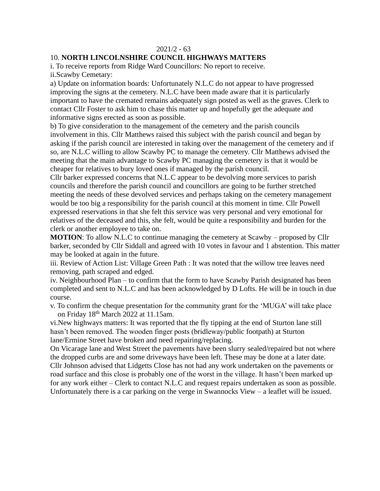#### $2021/2 - 63$

## 10. **NORTH LINCOLNSHIRE COUNCIL HIGHWAYS MATTERS**

i. To receive reports from Ridge Ward Councillors: No report to receive. ii.Scawby Cemetary:

a) Update on information boards: Unfortunately N.L.C do not appear to have progressed improving the signs at the cemetery. N.L.C have been made aware that it is particularly important to have the cremated remains adequately sign posted as well as the graves. Clerk to contact Cllr Foster to ask him to chase this matter up and hopefully get the adequate and informative signs erected as soon as possible.

b) To give consideration to the management of the cemetery and the parish councils involvement in this. Cllr Matthews raised this subject with the parish council and began by asking if the parish council are interested in taking over the management of the cemetery and if so, are N.L.C willing to allow Scawby PC to manage the cemetery. Cllr Matthews advised the meeting that the main advantage to Scawby PC managing the cemetery is that it would be cheaper for relatives to bury loved ones if managed by the parish council.

Cllr barker expressed concerns that N.L.C appear to be devolving more services to parish councils and therefore the parish council and councillors are going to be further stretched meeting the needs of these devolved services and perhaps taking on the cemetery management would be too big a responsibility for the parish council at this moment in time. Cllr Powell expressed reservations in that she felt this service was very personal and very emotional for relatives of the deceased and this, she felt, would be quite a responsibility and burden for the clerk or another employee to take on.

**MOTION**: To allow N.L.C to continue managing the cemetery at Scawby – proposed by Cllr barker, seconded by Cllr Siddall and agreed with 10 votes in favour and 1 abstention. This matter may be looked at again in the future.

iii. Review of Action List: Village Green Path : It was noted that the willow tree leaves need removing, path scraped and edged.

iv. Neighbourhood Plan – to confirm that the form to have Scawby Parish designated has been completed and sent to N.L.C and has been acknowledged by D Lofts. He will be in touch in due course.

v. To confirm the cheque presentation for the community grant for the 'MUGA' will take place on Friday 18th March 2022 at 11.15am.

vi.New highways matters: It was reported that the fly tipping at the end of Sturton lane still hasn't been removed. The wooden finger posts (bridleway/public footpath) at Sturton lane/Ermine Street have broken and need repairing/replacing.

On Vicarage lane and West Street the pavements have been slurry sealed/repaired but not where the dropped curbs are and some driveways have been left. These may be done at a later date. Cllr Johnson advised that Lidgetts Close has not had any work undertaken on the pavements or road surface and this close is probably one of the worst in the village. It hasn't been marked up for any work either – Clerk to contact N.L.C and request repairs undertaken as soon as possible. Unfortunately there is a car parking on the verge in Swannocks View – a leaflet will be issued.